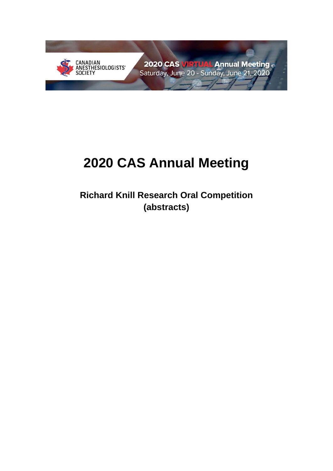

2020 CAS VIRTUAL Annual Meeting Saturday, June 20 - Sunday, June 21, 2020

# **2020 CAS Annual Meeting**

**Richard Knill Research Oral Competition (abstracts)**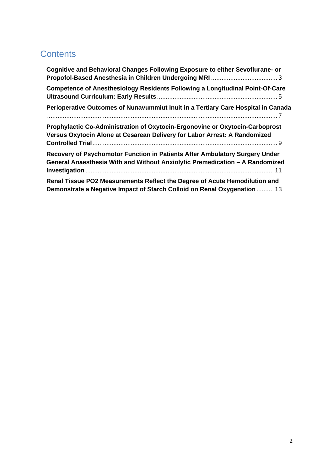# **Contents**

| Cognitive and Behavioral Changes Following Exposure to either Sevoflurane- or                                                                               |  |
|-------------------------------------------------------------------------------------------------------------------------------------------------------------|--|
| <b>Competence of Anesthesiology Residents Following a Longitudinal Point-Of-Care</b>                                                                        |  |
| Perioperative Outcomes of Nunavummiut Inuit in a Tertiary Care Hospital in Canada                                                                           |  |
| Prophylactic Co-Administration of Oxytocin-Ergonovine or Oxytocin-Carboprost<br>Versus Oxytocin Alone at Cesarean Delivery for Labor Arrest: A Randomized   |  |
| Recovery of Psychomotor Function in Patients After Ambulatory Surgery Under<br>General Anaesthesia With and Without Anxiolytic Premedication - A Randomized |  |
| Renal Tissue PO2 Measurements Reflect the Degree of Acute Hemodilution and<br>Demonstrate a Negative Impact of Starch Colloid on Renal Oxygenation  13      |  |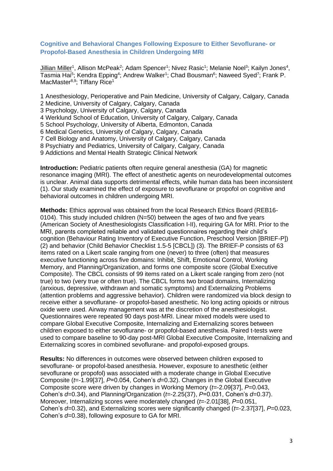# <span id="page-2-0"></span>**Cognitive and Behavioral Changes Following Exposure to Either Sevoflurane- or Propofol-Based Anesthesia in Children Undergoing MRI**

Jillian Miller<sup>1</sup>, Allison McPeak<sup>2</sup>; Adam Spencer<sup>1</sup>; Nivez Rasic<sup>1</sup>; Melanie Noel<sup>3</sup>; Kailyn Jones<sup>4</sup>, Tasmia Hai<sup>5</sup>; Kendra Epping<sup>4</sup>; Andrew Walker<sup>1</sup>; Chad Bousman<sup>6</sup>; Naweed Syed<sup>7</sup>; Frank P. MacMaster<sup>8,9</sup>; Tiffany Rice<sup>1</sup>

- 1 Anesthesiology, Perioperative and Pain Medicine, University of Calgary, Calgary, Canada
- 2 Medicine, University of Calgary, Calgary, Canada
- 3 Psychology, University of Calgary, Calgary, Canada
- 4 Werklund School of Education, University of Calgary, Calgary, Canada
- 5 School Psychology, University of Alberta, Edmonton, Canada
- 6 Medical Genetics, University of Calgary, Calgary, Canada
- 7 Cell Biology and Anatomy, University of Calgary, Calgary, Canada
- 8 Psychiatry and Pediatrics, University of Calgary, Calgary, Canada
- 9 Addictions and Mental Health Strategic Clinical Network

**Introduction:** Pediatric patients often require general anesthesia (GA) for magnetic resonance imaging (MRI). The effect of anesthetic agents on neurodevelopmental outcomes is unclear. Animal data supports detrimental effects, while human data has been inconsistent (1). Our study examined the effect of exposure to sevoflurane or propofol on cognitive and behavioral outcomes in children undergoing MRI.

**Methods:** Ethics approval was obtained from the local Research Ethics Board (REB16- 0104). This study included children (N=50) between the ages of two and five years (American Society of Anesthesiologists Classification I-II), requiring GA for MRI. Prior to the MRI, parents completed reliable and validated questionnaires regarding their child's cognition (Behaviour Rating Inventory of Executive Function, Preschool Version [BRIEF-P]) (2) and behavior (Child Behavior Checklist 1.5-5 [CBCL]) (3). The BRIEF-P consists of 63 items rated on a Likert scale ranging from one (never) to three (often) that measures executive functioning across five domains: Inhibit, Shift, Emotional Control, Working Memory, and Planning/Organization, and forms one composite score (Global Executive Composite). The CBCL consists of 99 items rated on a Likert scale ranging from zero (not true) to two (very true or often true). The CBCL forms two broad domains, Internalizing (anxious, depressive, withdrawn and somatic symptoms) and Externalizing Problems (attention problems and aggressive behavior). Children were randomized via block design to receive either a sevoflurane- or propofol-based anesthetic. No long acting opioids or nitrous oxide were used. Airway management was at the discretion of the anesthesiologist. Questionnaires were repeated 90 days post-MRI. Linear mixed models were used to compare Global Executive Composite, Internalizing and Externalizing scores between children exposed to either sevoflurane- or propofol-based anesthesia. Paired t-tests were used to compare baseline to 90-day post-MRI Global Executive Composite, Internalizing and Externalizing scores in combined sevoflurane- and propofol-exposed groups.

**Results:** No differences in outcomes were observed between children exposed to sevoflurane- or propofol-based anesthesia. However, exposure to anesthetic (either sevoflurane or propofol) was associated with a moderate change in Global Executive Composite (*t*=-1.99[37], *P*=0.054, Cohen's *d*=0.32). Changes in the Global Executive Composite score were driven by changes in Working Memory (*t*=-2.09[37], *P*=0.043, Cohen's *d*=0.34), and Planning/Organization (*t*=-2.25(37), *P*=0.031, Cohen's *d*=0.37). Moreover, Internalizing scores were moderately changed (*t*=-2.01[38], *P*=0.051, Cohen's *d*=0.32), and Externalizing scores were significantly changed (*t*=-2.37[37], *P*=0.023, Cohen's *d*=0.38), following exposure to GA for MRI.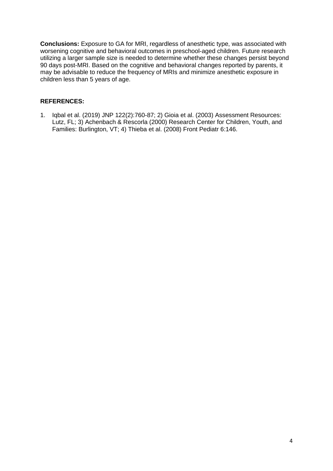**Conclusions:** Exposure to GA for MRI, regardless of anesthetic type, was associated with worsening cognitive and behavioral outcomes in preschool-aged children. Future research utilizing a larger sample size is needed to determine whether these changes persist beyond 90 days post-MRI. Based on the cognitive and behavioral changes reported by parents, it may be advisable to reduce the frequency of MRIs and minimize anesthetic exposure in children less than 5 years of age.

# **REFERENCES:**

1. Iqbal et al. (2019) JNP 122(2):760-87; 2) Gioia et al. (2003) Assessment Resources: Lutz, FL; 3) Achenbach & Rescorla (2000) Research Center for Children, Youth, and Families: Burlington, VT; 4) Thieba et al. (2008) Front Pediatr 6:146.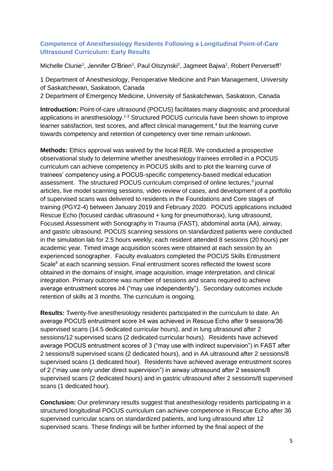# <span id="page-4-0"></span>**Competence of Anesthesiology Residents Following a Longitudinal Point-of-Care Ultrasound Curriculum: Early Results**

Michelle Clunie<sup>1</sup>, Jennifer O'Brien<sup>1</sup>, Paul Olszynski<sup>2</sup>, Jagmeet Bajwa<sup>1</sup>, Robert Perverseff<sup>1</sup>

1 Department of Anesthesiology, Perioperative Medicine and Pain Management, University of Saskatchewan, Saskatoon, Canada

2 Department of Emergency Medicine, University of Saskatchewan, Saskatoon, Canada

**Introduction:** Point-of-care ultrasound (POCUS) facilitates many diagnostic and procedural applications in anesthesiology.<sup>1-3</sup> Structured POCUS curricula have been shown to improve learner satisfaction, test scores, and affect clinical management,<sup>4</sup> but the learning curve towards competency and retention of competency over time remain unknown.

**Methods:** Ethics approval was waived by the local REB. We conducted a prospective observational study to determine whether anesthesiology trainees enrolled in a POCUS curriculum can achieve competency in POCUS skills and to plot the learning curve of trainees' competency using a POCUS-specific competency-based medical education assessment. The structured POCUS curriculum comprised of online lectures,<sup>5</sup> journal articles, live model scanning sessions, video review of cases, and development of a portfolio of supervised scans was delivered to residents in the Foundations and Core stages of training (PGY2-4) between January 2019 and February 2020. POCUS applications included Rescue Echo (focused cardiac ultrasound + lung for pneumothorax), lung ultrasound, Focused Assessment with Sonography in Trauma (FAST), abdominal aorta (AA), airway, and gastric ultrasound. POCUS scanning sessions on standardized patients were conducted in the simulation lab for 2.5 hours weekly; each resident attended 8 sessions (20 hours) per academic year. Timed image acquisition scores were obtained at each session by an experienced sonographer. Faculty evaluators completed the POCUS Skills Entrustment Scale<sup>6</sup> at each scanning session. Final entrustment scores reflected the lowest score obtained in the domains of insight, image acquisition, image interpretation, and clinical integration. Primary outcome was number of sessions and scans required to achieve average entrustment scores ≥4 ("may use independently"). Secondary outcomes include retention of skills at 3 months. The curriculum is ongoing.

**Results:** Twenty-five anesthesiology residents participated in the curriculum to date. An average POCUS entrustment score ≥4 was achieved in Rescue Echo after 9 sessions/36 supervised scans (14.5 dedicated curricular hours), and in lung ultrasound after 2 sessions/12 supervised scans (2 dedicated curricular hours). Residents have achieved average POCUS entrustment scores of 3 ("may use with indirect supervision") in FAST after 2 sessions/8 supervised scans (2 dedicated hours), and in AA ultrasound after 2 sessions/8 supervised scans (1 dedicated hour). Residents have achieved average entrustment scores of 2 ("may use only under direct supervision") in airway ultrasound after 2 sessions/8 supervised scans (2 dedicated hours) and in gastric ultrasound after 2 sessions/8 supervised scans (1 dedicated hour).

**Conclusion:** Our preliminary results suggest that anesthesiology residents participating in a structured longitudinal POCUS curriculum can achieve competence in Rescue Echo after 36 supervised curricular scans on standardized patients, and lung ultrasound after 12 supervised scans. These findings will be further informed by the final aspect of the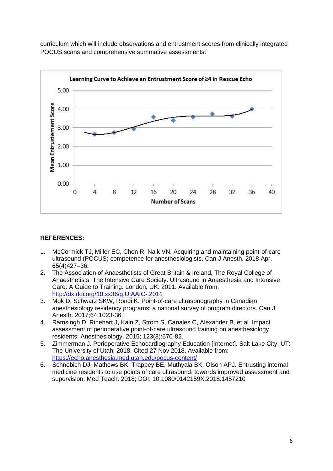curriculum which will include observations and entrustment scores from clinically integrated POCUS scans and comprehensive summative assessments.



# **REFERENCES:**

- 1. McCormick TJ, Miller EC, Chen R, Naik VN. Acquiring and maintaining point-of-care ultrasound (POCUS) competence for anesthesiologists. Can J Anesth. 2018 Apr. 65(4)427–36.
- 2. The Association of Anaesthetists of Great Britain & Ireland, The Royal College of Anaesthetists, The Intensive Care Society. Ultrasound in Anaesthesia and Intensive Care: A Guide to Training. London, UK: 2011. Available from: <http://dx.doi.org/10.xx36/g.UIAAIC-.2011>
- 3. Mok D, Schwarz SKW, Rondi K. Point-of-care ultrasonography in Canadian anesthesiology residency programs: a national survey of program directors. Can J Anesth. 2017;64:1023-36.
- 4. Ramsingh D, Rinehart J, Kain Z, Strom S, Canales C, Alexander B, et al. Impact assessment of perioperative point-of-care ultrasound training on anesthesiology residents. Anesthesiology. 2015; 123(3):670-82.
- 5. Zimmerman J. Perioperative Echocardiography Education [Internet]. Salt Lake City, UT: The University of Utah; 2018. Cited 27 Nov 2018. Available from: <https://echo.anesthesia.med.utah.edu/pocus-content/>
- 6. Schnobich DJ, Mathews BK, Trappey BE, Muthyala BK, Olson APJ. Entrusting internal medicine residents to use points of care ultrasound: towards improved assessment and supervision. Med Teach. 2018; DOI: 10.1080/0142159X.2018.1457210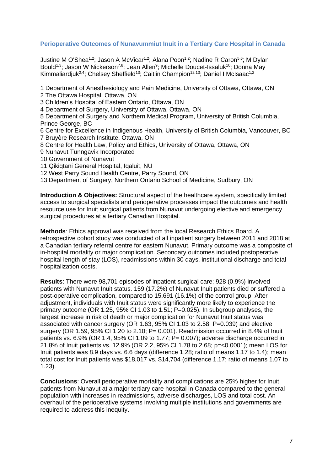# <span id="page-6-0"></span>**Perioperative Outcomes of Nunavummiut Inuit in a Tertiary Care Hospital in Canada**

Justine M O'Shea<sup>1,2</sup>; Jason A McVicar<sup>1,2</sup>; Alana Poon<sup>1,2</sup>; Nadine R Caron<sup>5,6</sup>; M Dvlan Bould<sup>1,3</sup>; Jason W Nickerson<sup>7,8</sup>; Jean Allen<sup>9</sup>; Michelle Doucet-Issaluk<sup>10</sup>; Donna May Kimmaliardjuk<sup>2,4</sup>; Chelsey Sheffield<sup>13</sup>; Caitlin Champion<sup>12,13</sup>; Daniel I McIsaac<sup>1,2</sup>

1 Department of Anesthesiology and Pain Medicine, University of Ottawa, Ottawa, ON

2 The Ottawa Hospital, Ottawa, ON

3 Children's Hospital of Eastern Ontario, Ottawa, ON

4 Department of Surgery, University of Ottawa, Ottawa, ON

5 Department of Surgery and Northern Medical Program, University of British Columbia, Prince George, BC

6 Centre for Excellence in Indigenous Health, University of British Columbia, Vancouver, BC 7 Bruyère Research Institute, Ottawa, ON

- 8 Centre for Health Law, Policy and Ethics, University of Ottawa, Ottawa, ON
- 9 Nunavut Tunngavik Incorporated
- 10 Government of Nunavut
- 11 Qikiqtani General Hospital, Iqaluit, NU
- 12 West Parry Sound Health Centre, Parry Sound, ON
- 13 Department of Surgery, Northern Ontario School of Medicine, Sudbury, ON

**Introduction & Objectives:** Structural aspect of the healthcare system, specifically limited access to surgical specialists and perioperative processes impact the outcomes and health resource use for Inuit surgical patients from Nunavut undergoing elective and emergency surgical procedures at a tertiary Canadian Hospital.

**Methods**: Ethics approval was received from the local Research Ethics Board. A retrospective cohort study was conducted of all inpatient surgery between 2011 and 2018 at a Canadian tertiary referral centre for eastern Nunavut. Primary outcome was a composite of in-hospital mortality or major complication. Secondary outcomes included postoperative hospital length of stay (LOS), readmissions within 30 days, institutional discharge and total hospitalization costs.

**Results**: There were 98,701 episodes of inpatient surgical care; 928 (0.9%) involved patients with Nunavut Inuit status. 159 (17.2%) of Nunavut Inuit patients died or suffered a post-operative complication, compared to 15,691 (16.1%) of the control group. After adjustment, individuals with Inuit status were significantly more likely to experience the primary outcome (OR 1.25, 95% CI 1.03 to 1.51; P=0.025). In subgroup analyses, the largest increase in risk of death or major complication for Nunavut Inuit status was associated with cancer surgery (OR 1.63, 95% CI 1.03 to 2.58: P=0.039) and elective surgery (OR 1.59, 95% CI 1.20 to 2.10;  $P = 0.001$ ). Readmission occurred in 8.4% of Inuit patients vs. 6.9% (OR 1.4, 95% CI 1.09 to 1.77; P= 0.007); adverse discharge occurred in 21.8% of Inuit patients vs. 12.9% (OR 2.2, 95% CI 1.78 to 2.68; p=<0.0001); mean LOS for Inuit patients was 8.9 days vs. 6.6 days (difference 1.28; ratio of means 1.17 to 1.4); mean total cost for Inuit patients was \$18,017 vs. \$14,704 (difference 1.17; ratio of means 1.07 to 1.23).

**Conclusions**: Overall perioperative mortality and complications are 25% higher for Inuit patients from Nunavut at a major tertiary care hospital in Canada compared to the general population with increases in readmissions, adverse discharges, LOS and total cost. An overhaul of the perioperative systems involving multiple institutions and governments are required to address this inequity.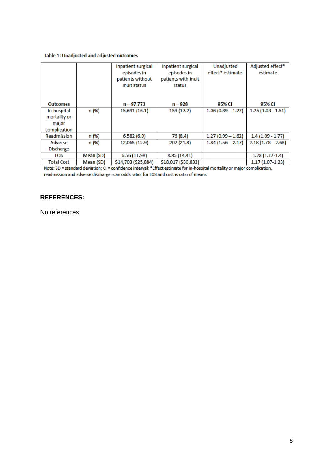#### Table 1: Unadjusted and adjusted outcomes

|                   |           | Inpatient surgical<br>episodes in<br>patients without<br>Inuit status | Inpatient surgical<br>episodes in<br>patients with Inuit<br>status | Unadjusted<br>effect* estimate | Adjusted effect*<br>estimate |
|-------------------|-----------|-----------------------------------------------------------------------|--------------------------------------------------------------------|--------------------------------|------------------------------|
| <b>Outcomes</b>   |           | $n = 97,773$                                                          | $n = 928$                                                          | 95% CI                         | 95% CI                       |
| In-hospital       | n (%)     | 15,691 (16.1)                                                         | 159 (17.2)                                                         | $1.06(0.89 - 1.27)$            | $1.25(1.03 - 1.51)$          |
| mortality or      |           |                                                                       |                                                                    |                                |                              |
| major             |           |                                                                       |                                                                    |                                |                              |
| complication      |           |                                                                       |                                                                    |                                |                              |
| Readmission       | n (%)     | 6,582(6.9)                                                            | 76 (8.4)                                                           | $1.27(0.99 - 1.62)$            | $1.4(1.09 - 1.77)$           |
| Adverse           | n (%)     | 12,065 (12.9)                                                         | 202 (21.8)                                                         | $1.84(1.56 - 2.17)$            | $2.18(1.78 - 2.68)$          |
| <b>Discharge</b>  |           |                                                                       |                                                                    |                                |                              |
| LOS               | Mean (SD) | 6.56 (11.98)                                                          | 8.85 (14.41)                                                       |                                | $1.28(1.17-1.4)$             |
| <b>Total Cost</b> | Mean (SD) | \$14,703 (\$25,884)                                                   | \$18,017 (\$30,832)                                                |                                | $1.17(1.07-1.23)$            |

Note: SD = standard deviation; CI = confidence interval; \*Effect estimate for in-hospital mortality or major complication, readmission and adverse discharge is an odds ratio; for LOS and cost is ratio of means.

# **REFERENCES:**

No references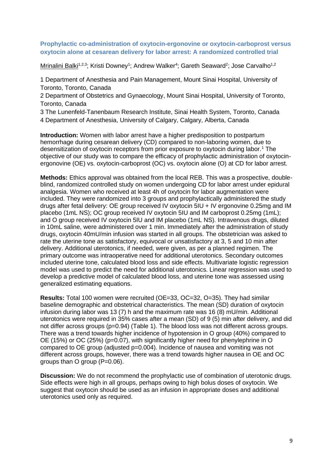# <span id="page-8-0"></span>**Prophylactic co-administration of oxytocin-ergonovine or oxytocin-carboprost versus oxytocin alone at cesarean delivery for labor arrest: A randomized controlled trial**

Mrinalini Balki<sup>1,2,3</sup>; Kristi Downey<sup>1</sup>; Andrew Walker<sup>4</sup>; Gareth Seaward<sup>2</sup>; Jose Carvalho<sup>1,2</sup>

1 Department of Anesthesia and Pain Management, Mount Sinai Hospital, University of Toronto, Toronto, Canada

2 Department of Obstetrics and Gynaecology, Mount Sinai Hospital, University of Toronto, Toronto, Canada

3 The Lunenfeld-Tanenbaum Research Institute, Sinai Health System, Toronto, Canada 4 Department of Anesthesia, University of Calgary, Calgary, Alberta, Canada

**Introduction:** Women with labor arrest have a higher predisposition to postpartum hemorrhage during cesarean delivery (CD) compared to non-laboring women, due to desensitization of oxytocin receptors from prior exposure to oxytocin during labor.<sup>1</sup> The objective of our study was to compare the efficacy of prophylactic administration of oxytocinergonovine (OE) vs. oxytocin-carboprost (OC) vs. oxytocin alone (O) at CD for labor arrest.

**Methods:** Ethics approval was obtained from the local REB. This was a prospective, doubleblind, randomized controlled study on women undergoing CD for labor arrest under epidural analgesia. Women who received at least 4h of oxytocin for labor augmentation were included. They were randomized into 3 groups and prophylactically administered the study drugs after fetal delivery: OE group received IV oxytocin 5IU + IV ergonovine 0.25mg and IM placebo (1mL NS); OC group received IV oxytocin 5IU and IM carboprost 0.25mg (1mL); and O group received IV oxytocin 5IU and IM placebo (1mL NS). Intravenous drugs, diluted in 10mL saline, were administered over 1 min. Immediately after the administration of study drugs, oxytocin 40mU/min infusion was started in all groups. The obstetrician was asked to rate the uterine tone as satisfactory, equivocal or unsatisfactory at 3, 5 and 10 min after delivery. Additional uterotonics, if needed, were given, as per a planned regimen. The primary outcome was intraoperative need for additional uterotonics. Secondary outcomes included uterine tone, calculated blood loss and side effects. Multivariate logistic regression model was used to predict the need for additional uterotonics. Linear regression was used to develop a predictive model of calculated blood loss, and uterine tone was assessed using generalized estimating equations.

**Results:** Total 100 women were recruited (OE=33, OC=32, O=35). They had similar baseline demographic and obstetrical characteristics. The mean (SD) duration of oxytocin infusion during labor was 13 (7) h and the maximum rate was 16 (8) mU/min. Additional uterotonics were required in 35% cases after a mean (SD) of 9 (5) min after delivery, and did not differ across groups (p=0.94) (Table 1). The blood loss was not different across groups. There was a trend towards higher incidence of hypotension in O group (40%) compared to OE (15%) or OC (25%) (p=0.07), with significantly higher need for phenylephrine in O compared to OE group (adjusted p=0.004). Incidence of nausea and vomiting was not different across groups, however, there was a trend towards higher nausea in OE and OC groups than O group (P=0.06).

**Discussion:** We do not recommend the prophylactic use of combination of uterotonic drugs. Side effects were high in all groups, perhaps owing to high bolus doses of oxytocin. We suggest that oxytocin should be used as an infusion in appropriate doses and additional uterotonics used only as required.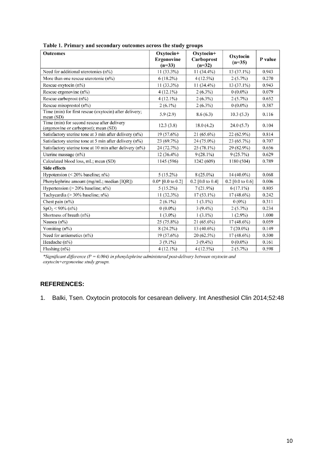| Outcomes                                                                             | Oxytocin+<br>Ergonovine<br>$(n=33)$ | Oxytocin+<br>Carboprost<br>$(n=32)$ | Oxytocin<br>$(n=35)$ | P value |
|--------------------------------------------------------------------------------------|-------------------------------------|-------------------------------------|----------------------|---------|
| Need for additional uterotonics $(n\%)$                                              | $11(33.3\%)$                        | $11(34.4\%)$                        | $13(37.1\%)$         | 0.943   |
| More than one rescue uterotonic (n%)                                                 | $6(18.2\%)$                         | $4(12.5\%)$                         | $2(5.7\%)$           | 0.270   |
| Rescue oxytocin (n%)                                                                 | $11(33.3\%)$                        | $11(34.4\%)$                        | $13(37.1\%)$         | 0.943   |
| Rescue ergonovine (n%)                                                               | $4(12.1\%)$                         | $2(6.3\%)$                          | $0(0.0\%)$           | 0.079   |
| Rescue carboprost $(n\%)$                                                            | $4(12.1\%)$                         | $2(6.3\%)$                          | $2(5.7\%)$           | 0.652   |
| Rescue misoprostol (n%)                                                              | $2(6.1\%)$                          | $2(6.3\%)$                          | $0(0.0\%)$           | 0.387   |
| Time (min) for first rescue (oxytocin) after delivery;<br>mean(SD)                   | 5.9(2.9)                            | 8.6(6.3)                            | 10.3(5.3)            | 0.116   |
| Time (min) for second rescue after delivery<br>(ergonovine or carboprost); mean (SD) | 12.3(3.8)                           | 18.0(4.2)                           | 24.0(5.7)            | 0.104   |
| Satisfactory uterine tone at 3 min after delivery (n%)                               | $19(57.6\%)$                        | $21(65.6\%)$                        | $22(62.9\%)$         | 0.814   |
| Satisfactory uterine tone at 5 min after delivery (n%)                               | $23(69.7\%)$                        | 24 (75.0%)                          | 23 (65.7%)           | 0.707   |
| Satisfactory uterine tone at 10 min after delivery (n%)                              | 24 (72.7%)                          | $25(78.1\%)$                        | 29 (82.9%)           | 0.656   |
| Uterine massage (n%)                                                                 | $12(36.4\%)$                        | $9(28.1\%)$                         | 9(25.7%)             | 0.629   |
| Calculated blood loss, mL; mean (SD)                                                 | 1145 (596)                          | 1242 (609)                          | 1180 (504)           | 0.789   |
| <b>Side effects</b>                                                                  |                                     |                                     |                      |         |
| Hypotension ( $<$ 20% baseline; n%)                                                  | $5(15.2\%)$                         | $8(25.0\%)$                         | 14 (40.0%)           | 0.068   |
| Phenylephrine amount (mg/mL; median [IQR])                                           | $0.0*$ [0.0 to 0.2]                 | $0.2$ [0.0 to 0.4]                  | $0.2$ [0.0 to 0.6]   | 0.006   |
| Hypertension ( $> 20\%$ baseline; n%)                                                | $5(15.2\%)$                         | $7(21.9\%)$                         | $6(17.1\%)$          | 0.805   |
| Tachycardia (> 30% baseline; n%)                                                     | $11(32.3\%)$                        | $17(53.1\%)$                        | $17(48.6\%)$         | 0.242   |
| Chest pain $(n\%)$                                                                   | $2(6.1\%)$                          | $1(3.1\%)$                          | $0(0\%)$             | 0.311   |
| $SpO2 < 90\% (n\%)$                                                                  | $0(0.0\%)$                          | $3(9.4\%)$                          | $2(5.7\%)$           | 0.234   |
| Shortness of breath (n%)                                                             | $1(3.0\%)$                          | $1(3.1\%)$                          | $1(2.9\%)$           | 1.000   |
| Nausea $(n\%)$                                                                       | $25(75.8\%)$                        | $21(65.6\%)$                        | 17 (48.6%)           | 0.059   |
| Vomiting (n%)                                                                        | $8(24.2\%)$                         | 13 (40.6%)                          | $7(20.0\%)$          | 0.149   |
| Need for antiemetics (n%)                                                            | 19 (57.6%)                          | 20(62.5%)                           | $17(48.6\%)$         | 0.500   |
| Headache (n%)                                                                        | $3(9.1\%)$                          | $3(9.4\%)$                          | $0(0.0\%)$           | 0.161   |
| Flushing $(n\%)$                                                                     | $4(12.1\%)$                         | $4(12.5\%)$                         | $2(5.7\%)$           | 0.598   |

| Table 1. Primary and secondary outcomes across the study groups |  |
|-----------------------------------------------------------------|--|
|-----------------------------------------------------------------|--|

\*Significant difference ( $P = 0.004$ ) in phenylephrine administered post-delivery between oxytocin and oxytocin+ergonovine study groups.

# **REFERENCES:**

1. Balki, Tsen. Oxytocin protocols for cesarean delivery. Int Anesthesiol Clin 2014;52:48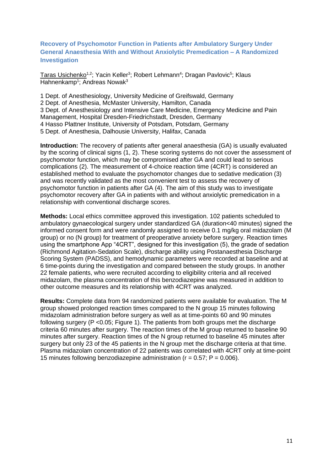# <span id="page-10-0"></span>**Recovery of Psychomotor Function in Patients after Ambulatory Surgery Under General Anaesthesia With and Without Anxiolytic Premedication – A Randomized Investigation**

Taras Usichenko<sup>1,2</sup>; Yacin Keller<sup>3</sup>; Robert Lehmann<sup>4</sup>; Dragan Pavlovic<sup>5</sup>; Klaus Hahnenkamp<sup>1</sup>; Andreas Nowak<sup>3</sup>

1 Dept. of Anesthesiology, University Medicine of Greifswald, Germany 2 Dept. of Anesthesia, McMaster University, Hamilton, Canada 3 Dept. of Anesthesiology and Intensive Care Medicine, Emergency Medicine and Pain Management, Hospital Dresden-Friedrichstadt, Dresden, Germany 4 Hasso Plattner Institute, University of Potsdam, Potsdam, Germany 5 Dept. of Anesthesia, Dalhousie University, Halifax, Canada

**Introduction:** The recovery of patients after general anaesthesia (GA) is usually evaluated by the scoring of clinical signs (1, 2). These scoring systems do not cover the assessment of psychomotor function, which may be compromised after GA and could lead to serious complications (2). The measurement of 4-choice reaction time (4CRT) is considered an established method to evaluate the psychomotor changes due to sedative medication (3) and was recently validated as the most convenient test to assess the recovery of psychomotor function in patients after GA (4). The aim of this study was to investigate psychomotor recovery after GA in patients with and without anxiolytic premedication in a relationship with conventional discharge scores.

**Methods:** Local ethics committee approved this investigation. 102 patients scheduled to ambulatory gynaecological surgery under standardized GA (duration<40 minutes) signed the informed consent form and were randomly assigned to receive 0.1 mg/kg oral midazolam (M group) or no (N group) for treatment of preoperative anxiety before surgery. Reaction times using the smartphone App "4CRT", designed for this investigation (5), the grade of sedation (Richmond Agitation-Sedation Scale), discharge ability using Postanaesthesia Discharge Scoring System (PADSS), and hemodynamic parameters were recorded at baseline and at 6 time-points during the investigation and compared between the study groups. In another 22 female patients, who were recruited according to eligibility criteria and all received midazolam, the plasma concentration of this benzodiazepine was measured in addition to other outcome measures and its relationship with 4CRT was analyzed.

**Results:** Complete data from 94 randomized patients were available for evaluation. The M group showed prolonged reaction times compared to the N group 15 minutes following midazolam administration before surgery as well as at time-points 60 and 90 minutes following surgery ( $P < 0.05$ ; Figure 1). The patients from both groups met the discharge criteria 60 minutes after surgery. The reaction times of the M group returned to baseline 90 minutes after surgery. Reaction times of the N group returned to baseline 45 minutes after surgery but only 23 of the 45 patients in the N group met the discharge criteria at that time. Plasma midazolam concentration of 22 patients was correlated with 4CRT only at time-point 15 minutes following benzodiazepine administration ( $r = 0.57$ ;  $P = 0.006$ ).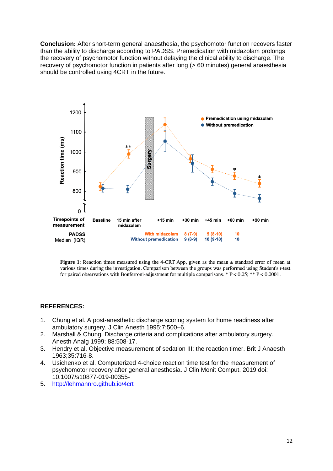**Conclusion:** After short-term general anaesthesia, the psychomotor function recovers faster than the ability to discharge according to PADSS. Premedication with midazolam prolongs the recovery of psychomotor function without delaying the clinical ability to discharge. The recovery of psychomotor function in patients after long (> 60 minutes) general anaesthesia should be controlled using 4CRT in the future.



Figure 1: Reaction times measured using the 4-CRT App, given as the mean  $\pm$  standard error of mean at various times during the investigation. Comparison between the groups was performed using Student's t-test for paired observations with Bonferroni-adjustment for multiple comparisons. \*  $P < 0.05$ ; \*\*  $P < 0.0001$ .

# **REFERENCES:**

- 1. Chung et al. A post-anesthetic discharge scoring system for home readiness after ambulatory surgery. J Clin Anesth 1995;7:500–6.
- 2. Marshall & Chung. Discharge criteria and complications after ambulatory surgery. Anesth Analg 1999; 88:508-17.
- 3. Hendry et al. Objective measurement of sedation III: the reaction timer. Brit J Anaesth 1963;35:716-8.
- 4. Usichenko et al. Computerized 4-choice reaction time test for the measurement of psychomotor recovery after general anesthesia. J Clin Monit Comput. 2019 doi: 10.1007/s10877-019-00355-
- 5. <http://lehmannro.github.io/4crt>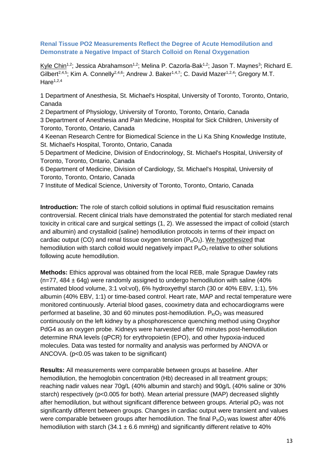<span id="page-12-0"></span>**Renal Tissue PO2 Measurements Reflect the Degree of Acute Hemodilution and Demonstrate a Negative Impact of Starch Colloid on Renal Oxygenation**

Kyle Chin<sup>1,2</sup>; Jessica Abrahamson<sup>1,2</sup>; Melina P. Cazorla-Bak<sup>1,2</sup>; Jason T. Maynes<sup>3</sup>; Richard E. Gilbert<sup>2,4,5</sup>; Kim A. Connelly<sup>2,4,6</sup>; Andrew J. Baker<sup>1,4,7</sup>; C. David Mazer<sup>1,2,4</sup>; Gregory M.T.  $Hare<sup>1,2,4</sup>$ 

1 Department of Anesthesia, St. Michael's Hospital, University of Toronto, Toronto, Ontario, Canada

2 Department of Physiology, University of Toronto, Toronto, Ontario, Canada 3 Department of Anesthesia and Pain Medicine, Hospital for Sick Children, University of Toronto, Toronto, Ontario, Canada

4 Keenan Research Centre for Biomedical Science in the Li Ka Shing Knowledge Institute, St. Michael's Hospital, Toronto, Ontario, Canada

5 Department of Medicine, Division of Endocrinology, St. Michael's Hospital, University of Toronto, Toronto, Ontario, Canada

6 Department of Medicine, Division of Cardiology, St. Michael's Hospital, University of Toronto, Toronto, Ontario, Canada

7 Institute of Medical Science, University of Toronto, Toronto, Ontario, Canada

**Introduction:** The role of starch colloid solutions in optimal fluid resuscitation remains controversial. Recent clinical trials have demonstrated the potential for starch mediated renal toxicity in critical care and surgical settings (1, 2). We assessed the impact of colloid (starch and albumin) and crystalloid (saline) hemodilution protocols in terms of their impact on cardiac output (CO) and renal tissue oxygen tension  $(P_{kt}O_2)$ . We hypothesized that hemodilution with starch colloid would negatively impact  $P_{kt}O_2$  relative to other solutions following acute hemodilution.

**Methods:** Ethics approval was obtained from the local REB, male Sprague Dawley rats  $(n=77, 484 \pm 64q)$  were randomly assigned to undergo hemodilution with saline (40%) estimated blood volume, 3:1 vol:vol), 6% hydroxyethyl starch (30 or 40% EBV, 1:1), 5% albumin (40% EBV, 1:1) or time-based control. Heart rate, MAP and rectal temperature were monitored continuously. Arterial blood gases, cooximetry data and echocardiograms were performed at baseline, 30 and 60 minutes post-hemodilution.  $P_{kt}O_2$  was measured continuously on the left kidney by a phosphorescence quenching method using Oxyphor PdG4 as an oxygen probe. Kidneys were harvested after 60 minutes post-hemodilution determine RNA levels (qPCR) for erythropoietin (EPO), and other hypoxia-induced molecules. Data was tested for normality and analysis was performed by ANOVA or ANCOVA. (p<0.05 was taken to be significant)

**Results:** All measurements were comparable between groups at baseline. After hemodilution, the hemoglobin concentration (Hb) decreased in all treatment groups; reaching nadir values near 70g/L (40% albumin and starch) and 90g/L (40% saline or 30% starch) respectively (p<0.005 for both). Mean arterial pressure (MAP) decreased slightly after hemodilution, but without significant difference between groups. Arterial  $pO<sub>2</sub>$  was not significantly different between groups. Changes in cardiac output were transient and values were comparable between groups after hemodilution. The final  $P_{kt}O_2$  was lowest after 40% hemodilution with starch (34.1  $\pm$  6.6 mmHg) and significantly different relative to 40%